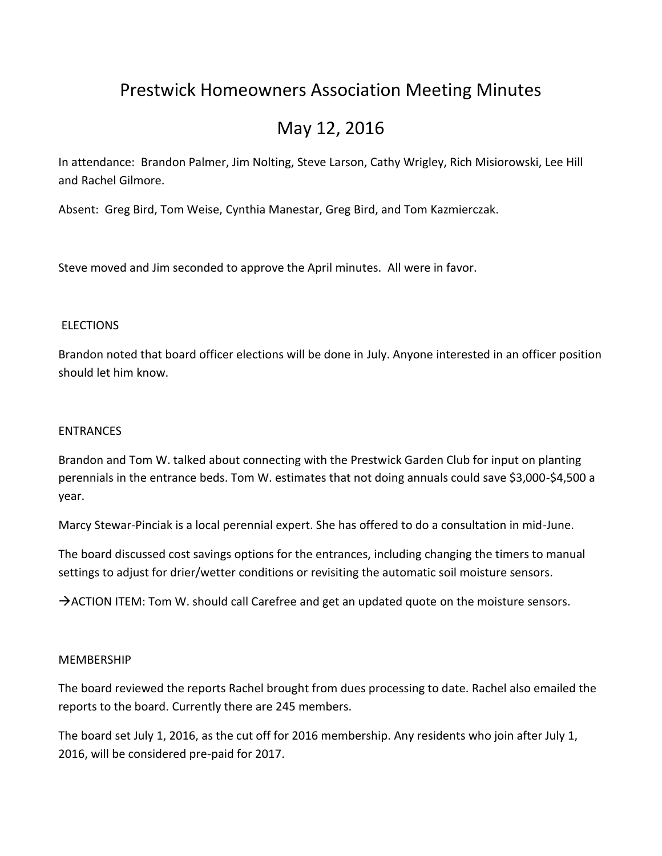# Prestwick Homeowners Association Meeting Minutes

# May 12, 2016

In attendance: Brandon Palmer, Jim Nolting, Steve Larson, Cathy Wrigley, Rich Misiorowski, Lee Hill and Rachel Gilmore.

Absent: Greg Bird, Tom Weise, Cynthia Manestar, Greg Bird, and Tom Kazmierczak.

Steve moved and Jim seconded to approve the April minutes. All were in favor.

# **ELECTIONS**

Brandon noted that board officer elections will be done in July. Anyone interested in an officer position should let him know.

#### **ENTRANCES**

Brandon and Tom W. talked about connecting with the Prestwick Garden Club for input on planting perennials in the entrance beds. Tom W. estimates that not doing annuals could save \$3,000-\$4,500 a year.

Marcy Stewar-Pinciak is a local perennial expert. She has offered to do a consultation in mid-June.

The board discussed cost savings options for the entrances, including changing the timers to manual settings to adjust for drier/wetter conditions or revisiting the automatic soil moisture sensors.

 $\rightarrow$  ACTION ITEM: Tom W. should call Carefree and get an updated quote on the moisture sensors.

# MEMBERSHIP

The board reviewed the reports Rachel brought from dues processing to date. Rachel also emailed the reports to the board. Currently there are 245 members.

The board set July 1, 2016, as the cut off for 2016 membership. Any residents who join after July 1, 2016, will be considered pre-paid for 2017.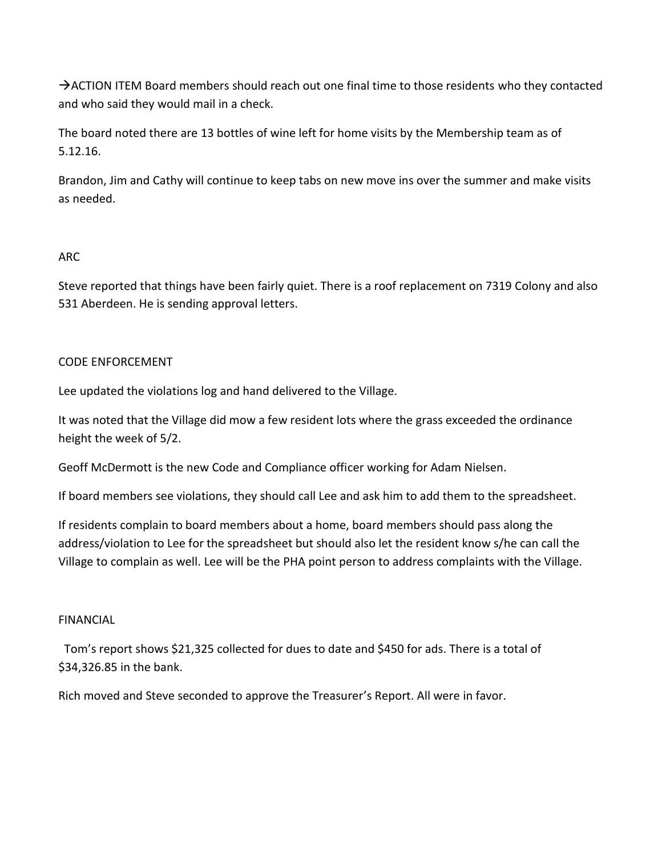$\rightarrow$  ACTION ITEM Board members should reach out one final time to those residents who they contacted and who said they would mail in a check.

The board noted there are 13 bottles of wine left for home visits by the Membership team as of 5.12.16.

Brandon, Jim and Cathy will continue to keep tabs on new move ins over the summer and make visits as needed.

# ARC

Steve reported that things have been fairly quiet. There is a roof replacement on 7319 Colony and also 531 Aberdeen. He is sending approval letters.

# CODE ENFORCEMENT

Lee updated the violations log and hand delivered to the Village.

It was noted that the Village did mow a few resident lots where the grass exceeded the ordinance height the week of 5/2.

Geoff McDermott is the new Code and Compliance officer working for Adam Nielsen.

If board members see violations, they should call Lee and ask him to add them to the spreadsheet.

If residents complain to board members about a home, board members should pass along the address/violation to Lee for the spreadsheet but should also let the resident know s/he can call the Village to complain as well. Lee will be the PHA point person to address complaints with the Village.

# FINANCIAL

 Tom's report shows \$21,325 collected for dues to date and \$450 for ads. There is a total of \$34,326.85 in the bank.

Rich moved and Steve seconded to approve the Treasurer's Report. All were in favor.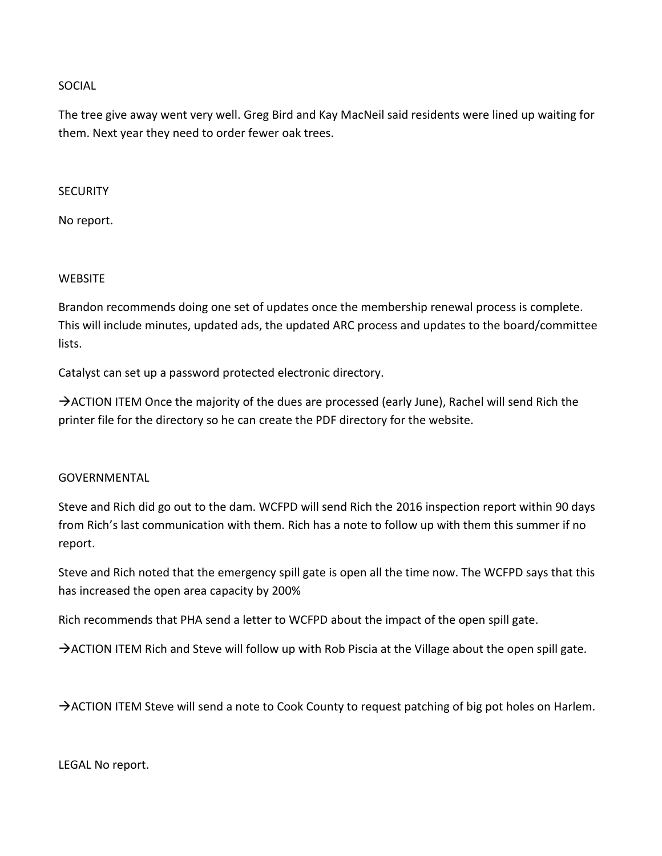#### SOCIAL

The tree give away went very well. Greg Bird and Kay MacNeil said residents were lined up waiting for them. Next year they need to order fewer oak trees.

#### **SECURITY**

No report.

# **WEBSITE**

Brandon recommends doing one set of updates once the membership renewal process is complete. This will include minutes, updated ads, the updated ARC process and updates to the board/committee lists.

Catalyst can set up a password protected electronic directory.

 $\rightarrow$  ACTION ITEM Once the majority of the dues are processed (early June), Rachel will send Rich the printer file for the directory so he can create the PDF directory for the website.

# GOVERNMENTAL

Steve and Rich did go out to the dam. WCFPD will send Rich the 2016 inspection report within 90 days from Rich's last communication with them. Rich has a note to follow up with them this summer if no report.

Steve and Rich noted that the emergency spill gate is open all the time now. The WCFPD says that this has increased the open area capacity by 200%

Rich recommends that PHA send a letter to WCFPD about the impact of the open spill gate.

 $\rightarrow$  ACTION ITEM Rich and Steve will follow up with Rob Piscia at the Village about the open spill gate.

ACTION ITEM Steve will send a note to Cook County to request patching of big pot holes on Harlem.

LEGAL No report.